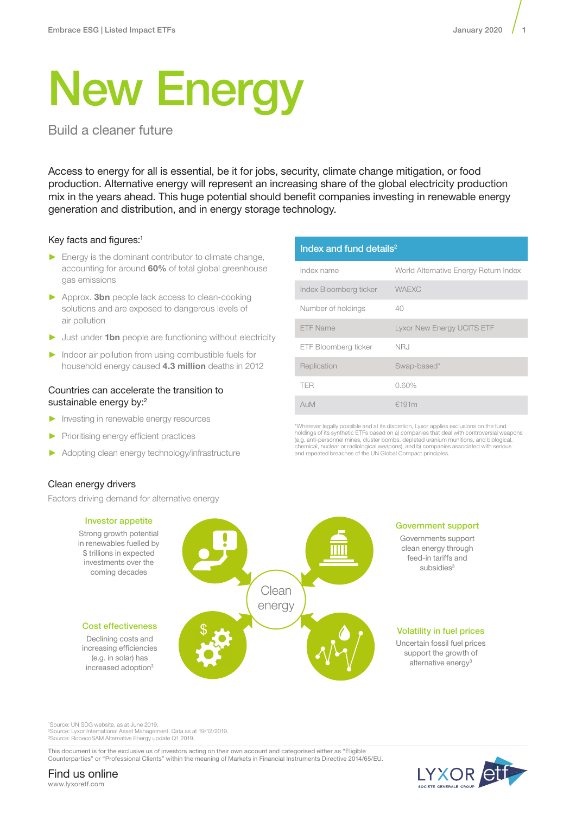# New Energy

Build a cleaner future

Access to energy for all is essential, be it for jobs, security, climate change mitigation, or food production. Alternative energy will represent an increasing share of the global electricity production mix in the years ahead. This huge potential should benefit companies investing in renewable energy generation and distribution, and in energy storage technology.

# Key facts and figures:<sup>1</sup>

- ► Energy is the dominant contributor to climate change, accounting for around 60% of total global greenhouse gas emissions
- ► Approx. 3bn people lack access to clean-cooking solutions and are exposed to dangerous levels of air pollution
- ► Just under 1bn people are functioning without electricity
- ► Indoor air pollution from using combustible fuels for household energy caused **4.3 million** deaths in 2012

# Countries can accelerate the transition to sustainable energy by:<sup>2</sup>

- ► Investing in renewable energy resources
- ► Prioritising energy efficient practices
- Adopting clean energy technology/infrastructure

# Clean energy drivers

Factors driving demand for alternative energy



# Index and fund details $2$

| Index name             | World Alternative Energy Return Index |  |
|------------------------|---------------------------------------|--|
| Index Bloomberg ticker | <b>WAEXC</b>                          |  |
| Number of holdings     | 40                                    |  |
| <b>ETF Name</b>        | <b>Lyxor New Energy UCITS ETF</b>     |  |
| ETF Bloomberg ticker   | NRJ                                   |  |
| Replication            | Swap-based*                           |  |
| <b>TER</b>             | $0.60\%$                              |  |
| AUM                    | €191m                                 |  |

chemical, nuclear or radiological weapons), and b) companies associated with serious \*Wherever legally possible and at its discretion, Lyxor applies exclusions on the fund holdings of its synthetic ETFs based on a) companies that deal with controversial weapons (e.g. anti-personnel mines, cluster bombs, depleted uranium munitions, and biological, and repeated breaches of the UN Global Compact principles.

#### Government support

Governments support clean energy through feed-in tariffs and subsidies<sup>3</sup>

### Volatility in fuel prices

Uncertain fossil fuel prices support the growth of alternative energy<sup>3</sup>

1 Source: UN SDG website, as at June 2019.

2 Source: Lyxor International Asset Management. Data as at 19/12/2019. 3 Source: RobecoSAM Alternative Energy update Q1 2019.

This document is for the exclusive us of investors acting on their own account and categorised either as "Eligible Counterparties" or "Professional Clients" within the meaning of Markets in Financial Instruments Directive 2014/65/EU.



#### Find us online www.lyxoretf.com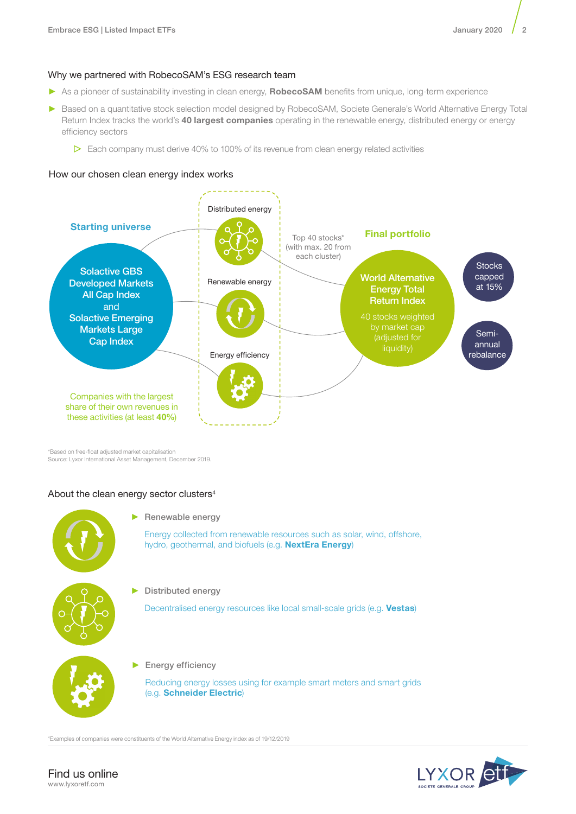# Why we partnered with RobecoSAM's ESG research team

- ► As a pioneer of sustainability investing in clean energy, RobecoSAM benefits from unique, long-term experience
- ► Based on a quantitative stock selection model designed by RobecoSAM, Societe Generale's World Alternative Energy Total Return Index tracks the world's 40 largest companies operating in the renewable energy, distributed energy or energy efficiency sectors
	- $\triangleright$  Each company must derive 40% to 100% of its revenue from clean energy related activities

# How our chosen clean energy index works



\*Based on free-float adjusted market capitalisation Source: Lyxor International Asset Management, December 2019.

# About the clean energy sector clusters<sup>4</sup>



► Renewable energy

Energy collected from renewable resources such as solar, wind, offshore, hydro, geothermal, and biofuels (e.g. NextEra Energy)

Distributed energy

Decentralised energy resources like local small-scale grids (e.g. Vestas)



► Energy efficiency

Reducing energy losses using for example smart meters and smart grids (e.g. Schneider Electric)

4 Examples of companies were constituents of the World Alternative Energy index as of 19/12/2019

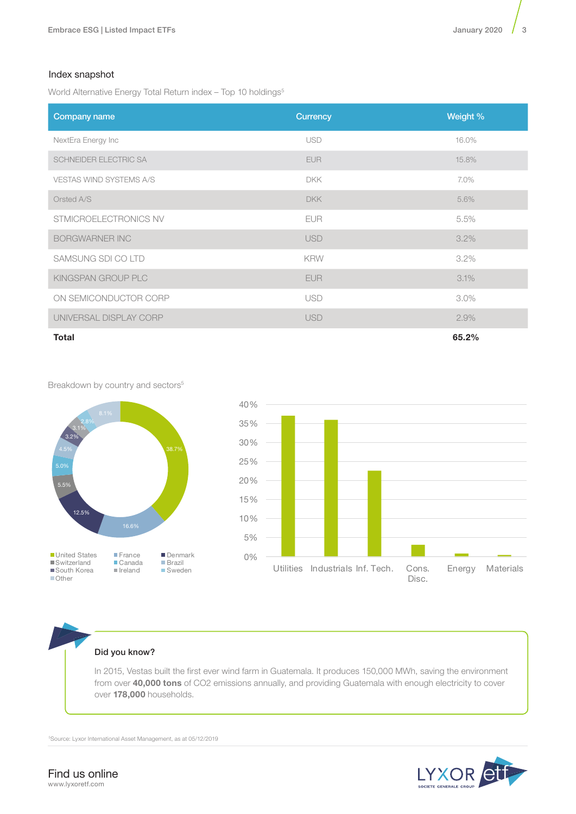# Index snapshot

World Alternative Energy Total Return index - Top 10 holdings<sup>5</sup>

| Company name                   | <b>Currency</b> | Weight % |
|--------------------------------|-----------------|----------|
| NextEra Energy Inc             | <b>USD</b>      | 16.0%    |
| SCHNEIDER ELECTRIC SA          | <b>EUR</b>      | 15.8%    |
| <b>VESTAS WIND SYSTEMS A/S</b> | <b>DKK</b>      | 7.0%     |
| Orsted A/S                     | <b>DKK</b>      | 5.6%     |
| STMICROELECTRONICS NV          | <b>EUR</b>      | 5.5%     |
| <b>BORGWARNER INC</b>          | <b>USD</b>      | 3.2%     |
| SAMSUNG SDI CO LTD             | <b>KRW</b>      | 3.2%     |
| KINGSPAN GROUP PLC             | EUR.            | 3.1%     |
| ON SEMICONDUCTOR CORP          | <b>USD</b>      | $3.0\%$  |
| UNIVERSAL DISPLAY CORP         | <b>USD</b>      | 2.9%     |
| <b>Total</b>                   |                 | 65.2%    |

Breakdown by country and sectors<sup>5</sup>





Did you know?

In 2015, Vestas built the first ever wind farm in Guatemala. It produces 150,000 MWh, saving the environment from over 40,000 tons of CO2 emissions annually, and providing Guatemala with enough electricity to cover over 178,000 households.

5Source: Lyxor International Asset Management, as at 05/12/2019